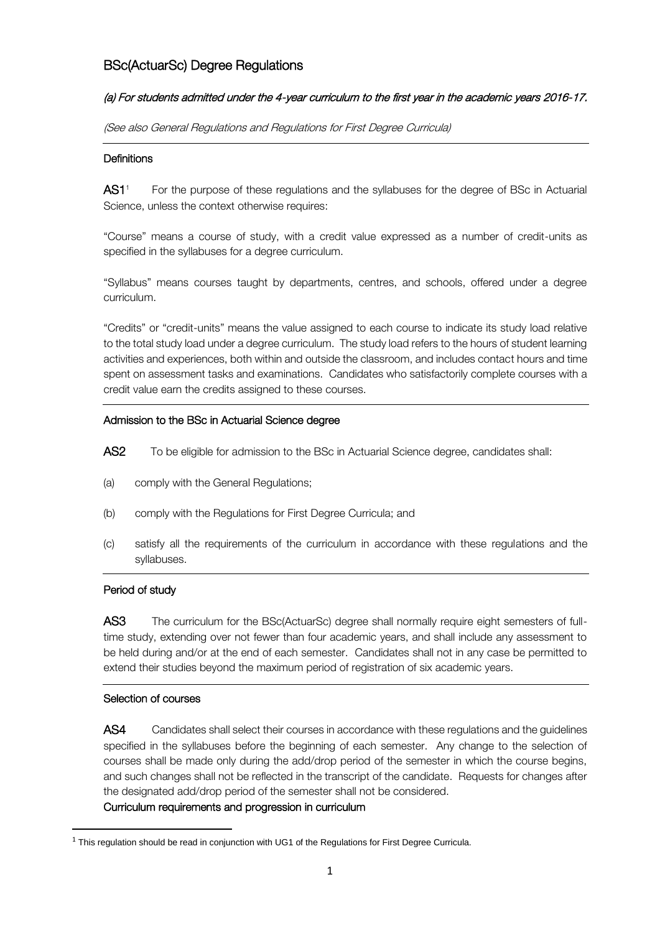# BSc(ActuarSc) Degree Regulations

### (a) For students admitted under the 4-year curriculum to the first year in the academic years 2016-17.

(See also General Regulations and Regulations for First Degree Curricula)

### **Definitions**

AS1<sup>1</sup> For the purpose of these regulations and the syllabuses for the degree of BSc in Actuarial Science, unless the context otherwise requires:

"Course" means a course of study, with a credit value expressed as a number of credit-units as specified in the syllabuses for a degree curriculum.

"Syllabus" means courses taught by departments, centres, and schools, offered under a degree curriculum.

"Credits" or "credit-units" means the value assigned to each course to indicate its study load relative to the total study load under a degree curriculum. The study load refers to the hours of student learning activities and experiences, both within and outside the classroom, and includes contact hours and time spent on assessment tasks and examinations. Candidates who satisfactorily complete courses with a credit value earn the credits assigned to these courses.

### Admission to the BSc in Actuarial Science degree

- AS2 To be eligible for admission to the BSc in Actuarial Science degree, candidates shall:
- (a) comply with the General Regulations;
- (b) comply with the Regulations for First Degree Curricula; and
- (c) satisfy all the requirements of the curriculum in accordance with these regulations and the syllabuses.

### Period of study

AS3 The curriculum for the BSc(ActuarSc) degree shall normally require eight semesters of fulltime study, extending over not fewer than four academic years, and shall include any assessment to be held during and/or at the end of each semester. Candidates shall not in any case be permitted to extend their studies beyond the maximum period of registration of six academic years.

# Selection of courses

 $\overline{a}$ 

AS4 Candidates shall select their courses in accordance with these regulations and the guidelines specified in the syllabuses before the beginning of each semester. Any change to the selection of courses shall be made only during the add/drop period of the semester in which the course begins, and such changes shall not be reflected in the transcript of the candidate. Requests for changes after the designated add/drop period of the semester shall not be considered.

### Curriculum requirements and progression in curriculum

 $1$  This regulation should be read in conjunction with UG1 of the Regulations for First Degree Curricula.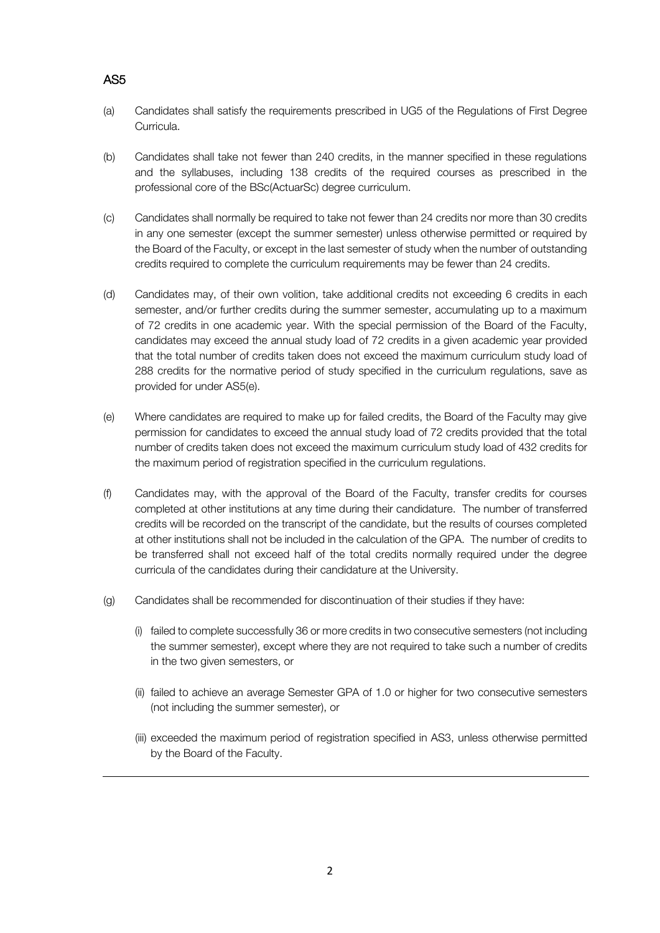# AS5

- (a) Candidates shall satisfy the requirements prescribed in UG5 of the Regulations of First Degree Curricula.
- (b) Candidates shall take not fewer than 240 credits, in the manner specified in these regulations and the syllabuses, including 138 credits of the required courses as prescribed in the professional core of the BSc(ActuarSc) degree curriculum.
- (c) Candidates shall normally be required to take not fewer than 24 credits nor more than 30 credits in any one semester (except the summer semester) unless otherwise permitted or required by the Board of the Faculty, or except in the last semester of study when the number of outstanding credits required to complete the curriculum requirements may be fewer than 24 credits.
- (d) Candidates may, of their own volition, take additional credits not exceeding 6 credits in each semester, and/or further credits during the summer semester, accumulating up to a maximum of 72 credits in one academic year. With the special permission of the Board of the Faculty, candidates may exceed the annual study load of 72 credits in a given academic year provided that the total number of credits taken does not exceed the maximum curriculum study load of 288 credits for the normative period of study specified in the curriculum regulations, save as provided for under AS5(e).
- (e) Where candidates are required to make up for failed credits, the Board of the Faculty may give permission for candidates to exceed the annual study load of 72 credits provided that the total number of credits taken does not exceed the maximum curriculum study load of 432 credits for the maximum period of registration specified in the curriculum regulations.
- (f) Candidates may, with the approval of the Board of the Faculty, transfer credits for courses completed at other institutions at any time during their candidature. The number of transferred credits will be recorded on the transcript of the candidate, but the results of courses completed at other institutions shall not be included in the calculation of the GPA. The number of credits to be transferred shall not exceed half of the total credits normally required under the degree curricula of the candidates during their candidature at the University.
- (g) Candidates shall be recommended for discontinuation of their studies if they have:
	- (i) failed to complete successfully 36 or more credits in two consecutive semesters (not including the summer semester), except where they are not required to take such a number of credits in the two given semesters, or
	- (ii) failed to achieve an average Semester GPA of 1.0 or higher for two consecutive semesters (not including the summer semester), or
	- (iii) exceeded the maximum period of registration specified in AS3, unless otherwise permitted by the Board of the Faculty.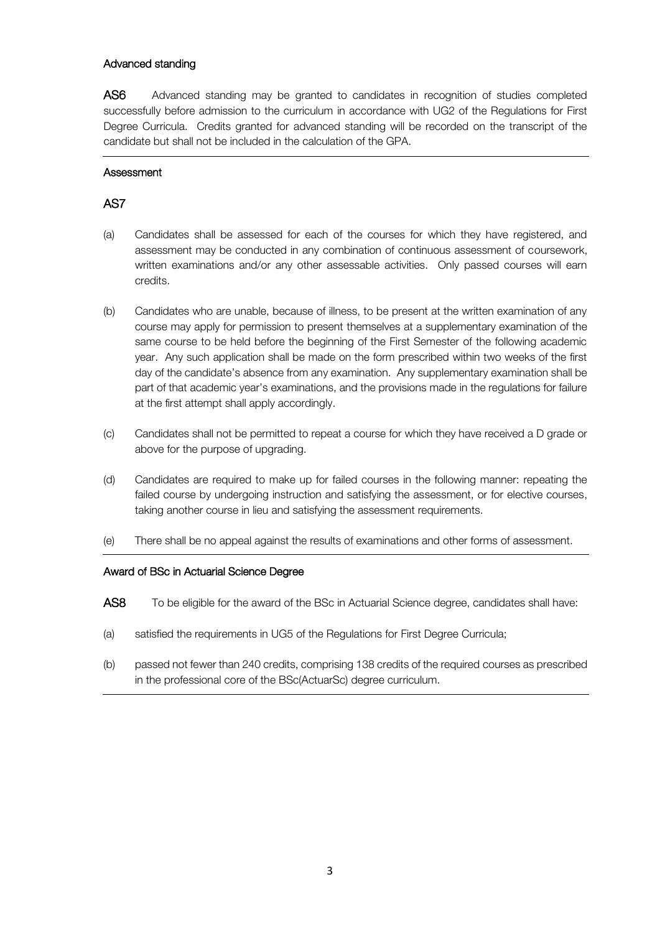### Advanced standing

AS6 Advanced standing may be granted to candidates in recognition of studies completed successfully before admission to the curriculum in accordance with UG2 of the Regulations for First Degree Curricula. Credits granted for advanced standing will be recorded on the transcript of the candidate but shall not be included in the calculation of the GPA.

### **Assessment**

# AS7

- (a) Candidates shall be assessed for each of the courses for which they have registered, and assessment may be conducted in any combination of continuous assessment of coursework, written examinations and/or any other assessable activities. Only passed courses will earn credits.
- (b) Candidates who are unable, because of illness, to be present at the written examination of any course may apply for permission to present themselves at a supplementary examination of the same course to be held before the beginning of the First Semester of the following academic year. Any such application shall be made on the form prescribed within two weeks of the first day of the candidate's absence from any examination. Any supplementary examination shall be part of that academic year's examinations, and the provisions made in the regulations for failure at the first attempt shall apply accordingly.
- (c) Candidates shall not be permitted to repeat a course for which they have received a D grade or above for the purpose of upgrading.
- (d) Candidates are required to make up for failed courses in the following manner: repeating the failed course by undergoing instruction and satisfying the assessment, or for elective courses, taking another course in lieu and satisfying the assessment requirements.
- (e) There shall be no appeal against the results of examinations and other forms of assessment.

### Award of BSc in Actuarial Science Degree

- AS8 To be eligible for the award of the BSc in Actuarial Science degree, candidates shall have:
- (a) satisfied the requirements in UG5 of the Regulations for First Degree Curricula;
- (b) passed not fewer than 240 credits, comprising 138 credits of the required courses as prescribed in the professional core of the BSc(ActuarSc) degree curriculum.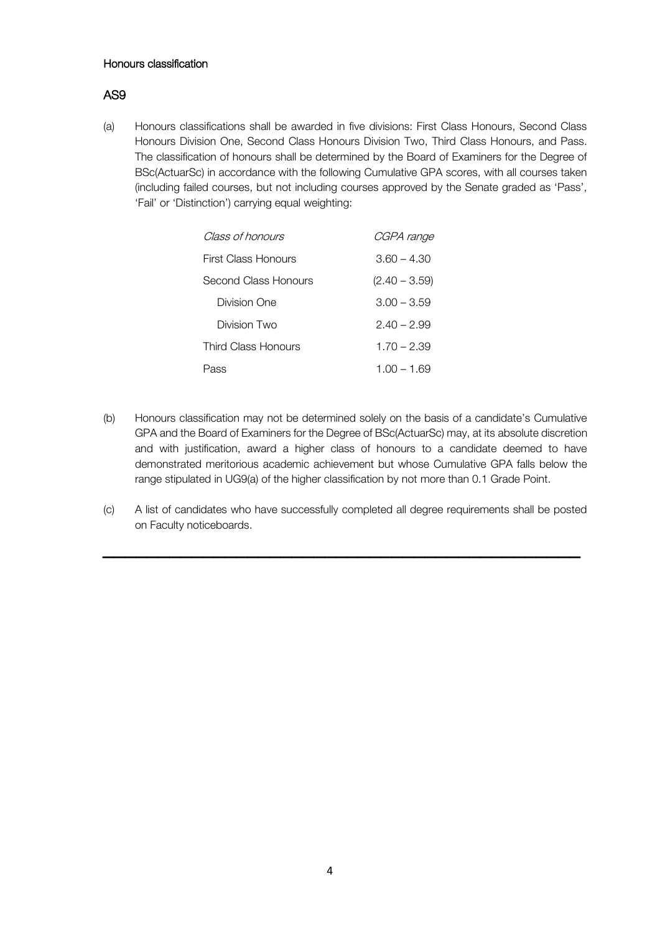#### Honours classification

# AS9

(a) Honours classifications shall be awarded in five divisions: First Class Honours, Second Class Honours Division One, Second Class Honours Division Two, Third Class Honours, and Pass. The classification of honours shall be determined by the Board of Examiners for the Degree of BSc(ActuarSc) in accordance with the following Cumulative GPA scores, with all courses taken (including failed courses, but not including courses approved by the Senate graded as 'Pass', 'Fail' or 'Distinction') carrying equal weighting:

| Class of honours     | CGPA range      |
|----------------------|-----------------|
| First Class Honours  | $3.60 - 4.30$   |
| Second Class Honours | $(2.40 - 3.59)$ |
| Division One         | $3.00 - 3.59$   |
| Division Two         | $2.40 - 2.99$   |
| Third Class Honours  | $1.70 - 2.39$   |
| Pass                 | $1.00 - 1.69$   |

- (b) Honours classification may not be determined solely on the basis of a candidate's Cumulative GPA and the Board of Examiners for the Degree of BSc(ActuarSc) may, at its absolute discretion and with justification, award a higher class of honours to a candidate deemed to have demonstrated meritorious academic achievement but whose Cumulative GPA falls below the range stipulated in UG9(a) of the higher classification by not more than 0.1 Grade Point.
- (c) A list of candidates who have successfully completed all degree requirements shall be posted on Faculty noticeboards.

 $\overline{\phantom{a}}$  ,  $\overline{\phantom{a}}$  ,  $\overline{\phantom{a}}$  ,  $\overline{\phantom{a}}$  ,  $\overline{\phantom{a}}$  ,  $\overline{\phantom{a}}$  ,  $\overline{\phantom{a}}$  ,  $\overline{\phantom{a}}$  ,  $\overline{\phantom{a}}$  ,  $\overline{\phantom{a}}$  ,  $\overline{\phantom{a}}$  ,  $\overline{\phantom{a}}$  ,  $\overline{\phantom{a}}$  ,  $\overline{\phantom{a}}$  ,  $\overline{\phantom{a}}$  ,  $\overline{\phantom{a}}$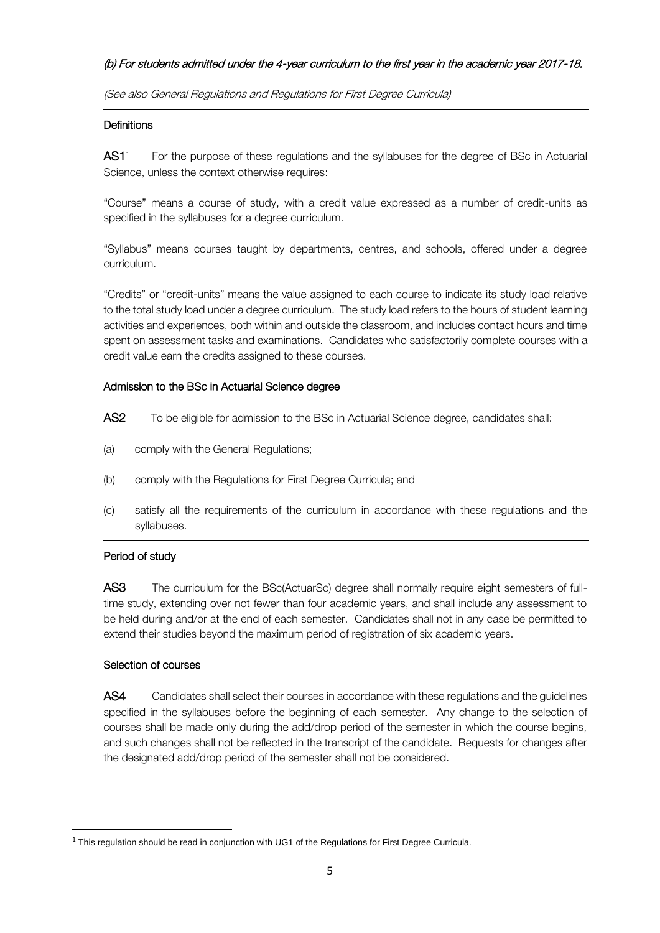### (b) For students admitted under the 4-year curriculum to the first year in the academic year 2017-18.

(See also General Regulations and Regulations for First Degree Curricula)

### **Definitions**

AS1<sup>1</sup> For the purpose of these regulations and the syllabuses for the degree of BSc in Actuarial Science, unless the context otherwise requires:

"Course" means a course of study, with a credit value expressed as a number of credit-units as specified in the syllabuses for a degree curriculum.

"Syllabus" means courses taught by departments, centres, and schools, offered under a degree curriculum.

"Credits" or "credit-units" means the value assigned to each course to indicate its study load relative to the total study load under a degree curriculum. The study load refers to the hours of student learning activities and experiences, both within and outside the classroom, and includes contact hours and time spent on assessment tasks and examinations. Candidates who satisfactorily complete courses with a credit value earn the credits assigned to these courses.

### Admission to the BSc in Actuarial Science degree

- AS2 To be eligible for admission to the BSc in Actuarial Science degree, candidates shall:
- (a) comply with the General Regulations;
- (b) comply with the Regulations for First Degree Curricula; and
- (c) satisfy all the requirements of the curriculum in accordance with these regulations and the syllabuses.

# Period of study

AS3 The curriculum for the BSc(ActuarSc) degree shall normally require eight semesters of fulltime study, extending over not fewer than four academic years, and shall include any assessment to be held during and/or at the end of each semester. Candidates shall not in any case be permitted to extend their studies beyond the maximum period of registration of six academic years.

### Selection of courses

 $\overline{a}$ 

AS4 Candidates shall select their courses in accordance with these regulations and the guidelines specified in the syllabuses before the beginning of each semester. Any change to the selection of courses shall be made only during the add/drop period of the semester in which the course begins, and such changes shall not be reflected in the transcript of the candidate. Requests for changes after the designated add/drop period of the semester shall not be considered.

 $1$  This regulation should be read in conjunction with UG1 of the Regulations for First Degree Curricula.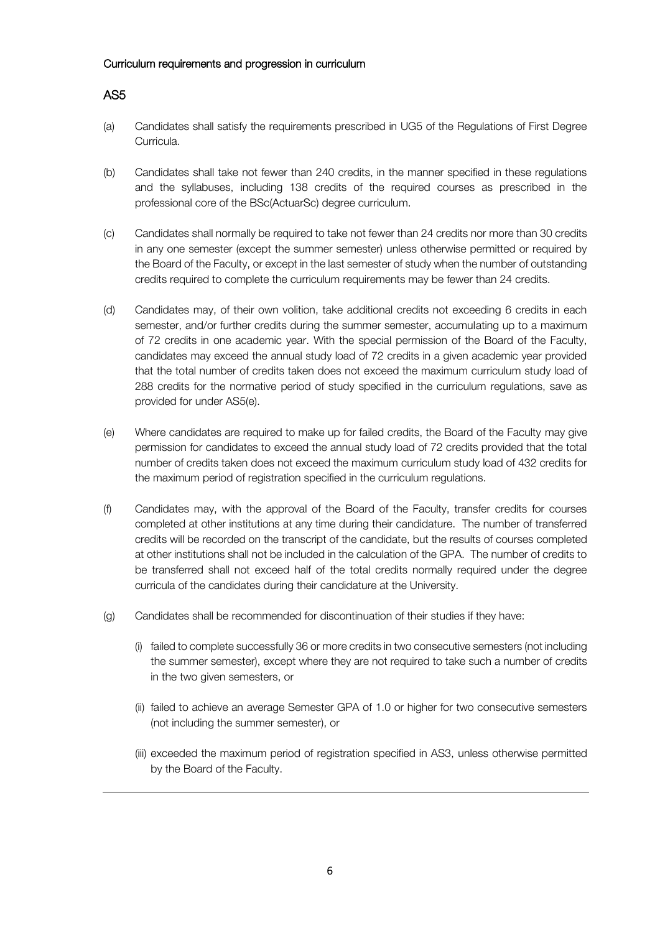#### Curriculum requirements and progression in curriculum

# AS5

- (a) Candidates shall satisfy the requirements prescribed in UG5 of the Regulations of First Degree Curricula.
- (b) Candidates shall take not fewer than 240 credits, in the manner specified in these regulations and the syllabuses, including 138 credits of the required courses as prescribed in the professional core of the BSc(ActuarSc) degree curriculum.
- (c) Candidates shall normally be required to take not fewer than 24 credits nor more than 30 credits in any one semester (except the summer semester) unless otherwise permitted or required by the Board of the Faculty, or except in the last semester of study when the number of outstanding credits required to complete the curriculum requirements may be fewer than 24 credits.
- (d) Candidates may, of their own volition, take additional credits not exceeding 6 credits in each semester, and/or further credits during the summer semester, accumulating up to a maximum of 72 credits in one academic year. With the special permission of the Board of the Faculty, candidates may exceed the annual study load of 72 credits in a given academic year provided that the total number of credits taken does not exceed the maximum curriculum study load of 288 credits for the normative period of study specified in the curriculum regulations, save as provided for under AS5(e).
- (e) Where candidates are required to make up for failed credits, the Board of the Faculty may give permission for candidates to exceed the annual study load of 72 credits provided that the total number of credits taken does not exceed the maximum curriculum study load of 432 credits for the maximum period of registration specified in the curriculum regulations.
- (f) Candidates may, with the approval of the Board of the Faculty, transfer credits for courses completed at other institutions at any time during their candidature. The number of transferred credits will be recorded on the transcript of the candidate, but the results of courses completed at other institutions shall not be included in the calculation of the GPA. The number of credits to be transferred shall not exceed half of the total credits normally required under the degree curricula of the candidates during their candidature at the University.
- (g) Candidates shall be recommended for discontinuation of their studies if they have:
	- (i) failed to complete successfully 36 or more credits in two consecutive semesters (not including the summer semester), except where they are not required to take such a number of credits in the two given semesters, or
	- (ii) failed to achieve an average Semester GPA of 1.0 or higher for two consecutive semesters (not including the summer semester), or
	- (iii) exceeded the maximum period of registration specified in AS3, unless otherwise permitted by the Board of the Faculty.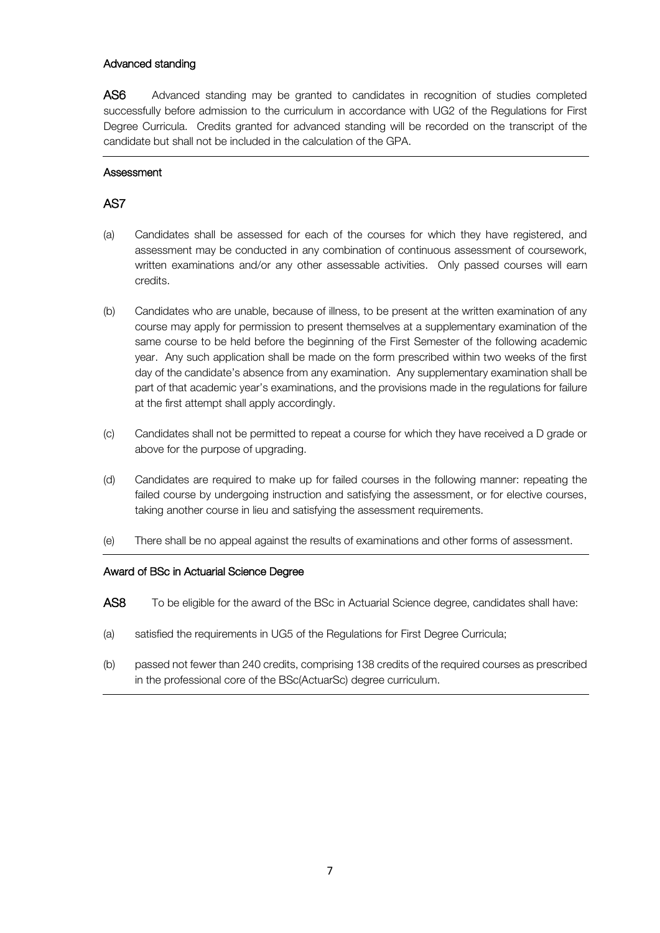### Advanced standing

AS6 Advanced standing may be granted to candidates in recognition of studies completed successfully before admission to the curriculum in accordance with UG2 of the Regulations for First Degree Curricula. Credits granted for advanced standing will be recorded on the transcript of the candidate but shall not be included in the calculation of the GPA.

### **Assessment**

# AS7

- (a) Candidates shall be assessed for each of the courses for which they have registered, and assessment may be conducted in any combination of continuous assessment of coursework, written examinations and/or any other assessable activities. Only passed courses will earn credits.
- (b) Candidates who are unable, because of illness, to be present at the written examination of any course may apply for permission to present themselves at a supplementary examination of the same course to be held before the beginning of the First Semester of the following academic year. Any such application shall be made on the form prescribed within two weeks of the first day of the candidate's absence from any examination. Any supplementary examination shall be part of that academic year's examinations, and the provisions made in the regulations for failure at the first attempt shall apply accordingly.
- (c) Candidates shall not be permitted to repeat a course for which they have received a D grade or above for the purpose of upgrading.
- (d) Candidates are required to make up for failed courses in the following manner: repeating the failed course by undergoing instruction and satisfying the assessment, or for elective courses, taking another course in lieu and satisfying the assessment requirements.
- (e) There shall be no appeal against the results of examinations and other forms of assessment.

### Award of BSc in Actuarial Science Degree

- AS8 To be eligible for the award of the BSc in Actuarial Science degree, candidates shall have:
- (a) satisfied the requirements in UG5 of the Regulations for First Degree Curricula;
- (b) passed not fewer than 240 credits, comprising 138 credits of the required courses as prescribed in the professional core of the BSc(ActuarSc) degree curriculum.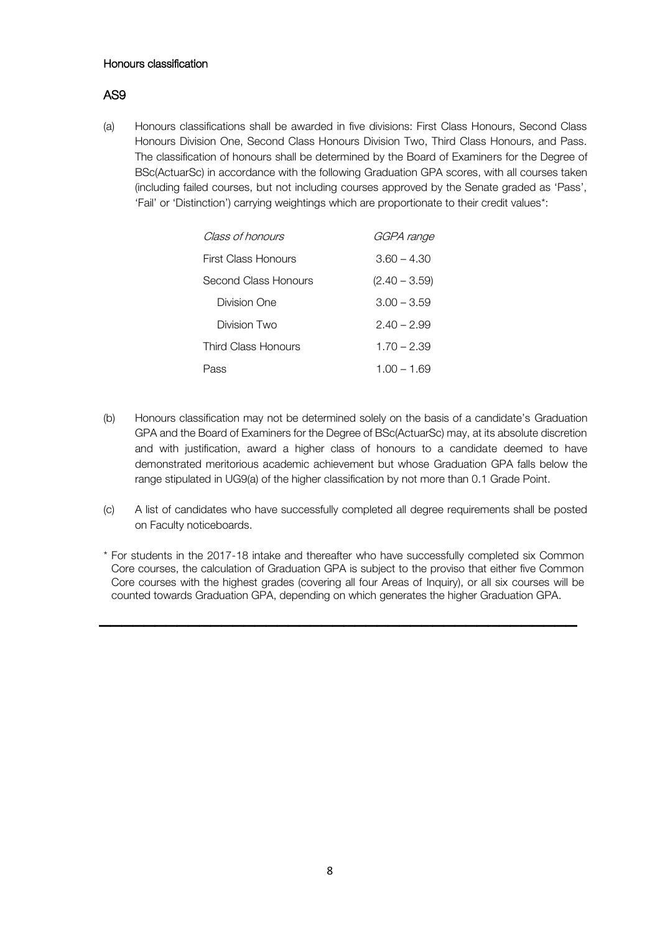### Honours classification

# AS9

(a) Honours classifications shall be awarded in five divisions: First Class Honours, Second Class Honours Division One, Second Class Honours Division Two, Third Class Honours, and Pass. The classification of honours shall be determined by the Board of Examiners for the Degree of BSc(ActuarSc) in accordance with the following Graduation GPA scores, with all courses taken (including failed courses, but not including courses approved by the Senate graded as 'Pass', 'Fail' or 'Distinction') carrying weightings which are proportionate to their credit values\*:

| Class of honours     | GGPA range      |
|----------------------|-----------------|
| First Class Honours  | $3.60 - 4.30$   |
| Second Class Honours | $(2.40 - 3.59)$ |
| Division One         | $3.00 - 3.59$   |
| Division Two         | $2.40 - 2.99$   |
| Third Class Honours  | $1.70 - 2.39$   |
| Pass                 | $1.00 - 1.69$   |

- (b) Honours classification may not be determined solely on the basis of a candidate's Graduation GPA and the Board of Examiners for the Degree of BSc(ActuarSc) may, at its absolute discretion and with justification, award a higher class of honours to a candidate deemed to have demonstrated meritorious academic achievement but whose Graduation GPA falls below the range stipulated in UG9(a) of the higher classification by not more than 0.1 Grade Point.
- (c) A list of candidates who have successfully completed all degree requirements shall be posted on Faculty noticeboards.
- \* For students in the 2017-18 intake and thereafter who have successfully completed six Common Core courses, the calculation of Graduation GPA is subject to the proviso that either five Common Core courses with the highest grades (covering all four Areas of Inquiry), or all six courses will be counted towards Graduation GPA, depending on which generates the higher Graduation GPA.

 $\overline{\phantom{a}}$  , and the contract of the contract of the contract of the contract of the contract of the contract of the contract of the contract of the contract of the contract of the contract of the contract of the contrac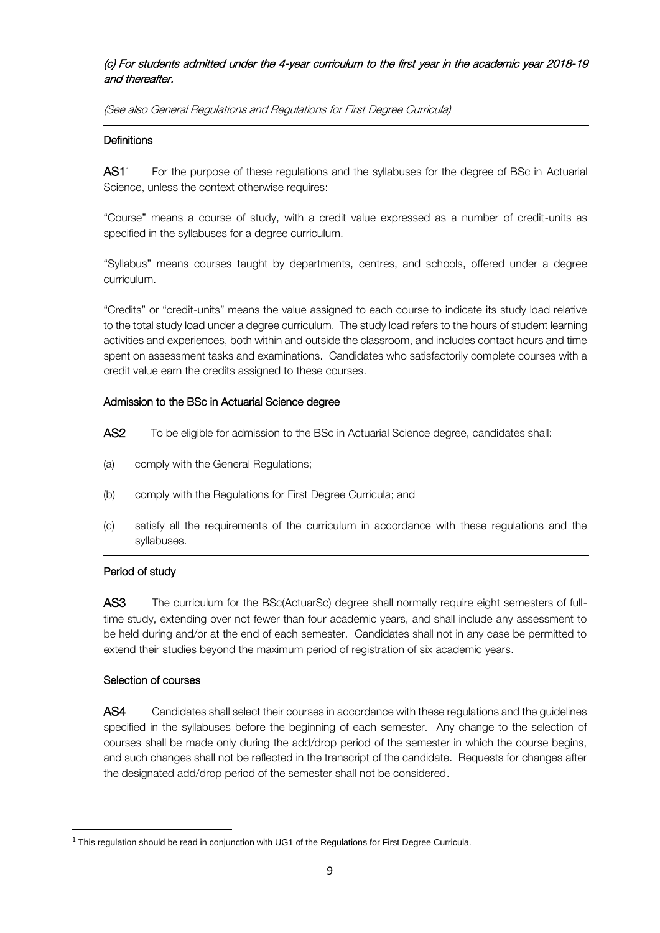# (c) For students admitted under the 4-year curriculum to the first year in the academic year 2018-19 and thereafter.

(See also General Regulations and Regulations for First Degree Curricula)

### **Definitions**

AS1<sup>1</sup> For the purpose of these regulations and the syllabuses for the degree of BSc in Actuarial Science, unless the context otherwise requires:

"Course" means a course of study, with a credit value expressed as a number of credit-units as specified in the syllabuses for a degree curriculum.

"Syllabus" means courses taught by departments, centres, and schools, offered under a degree curriculum.

"Credits" or "credit-units" means the value assigned to each course to indicate its study load relative to the total study load under a degree curriculum. The study load refers to the hours of student learning activities and experiences, both within and outside the classroom, and includes contact hours and time spent on assessment tasks and examinations. Candidates who satisfactorily complete courses with a credit value earn the credits assigned to these courses.

# Admission to the BSc in Actuarial Science degree

- AS2 To be eligible for admission to the BSc in Actuarial Science degree, candidates shall:
- (a) comply with the General Regulations;
- (b) comply with the Regulations for First Degree Curricula; and
- (c) satisfy all the requirements of the curriculum in accordance with these regulations and the syllabuses.

# Period of study

AS3 The curriculum for the BSc(ActuarSc) degree shall normally require eight semesters of fulltime study, extending over not fewer than four academic years, and shall include any assessment to be held during and/or at the end of each semester. Candidates shall not in any case be permitted to extend their studies beyond the maximum period of registration of six academic years.

# Selection of courses

 $\overline{a}$ 

AS4 Candidates shall select their courses in accordance with these regulations and the quidelines specified in the syllabuses before the beginning of each semester. Any change to the selection of courses shall be made only during the add/drop period of the semester in which the course begins, and such changes shall not be reflected in the transcript of the candidate. Requests for changes after the designated add/drop period of the semester shall not be considered.

 $1$  This regulation should be read in conjunction with UG1 of the Regulations for First Degree Curricula.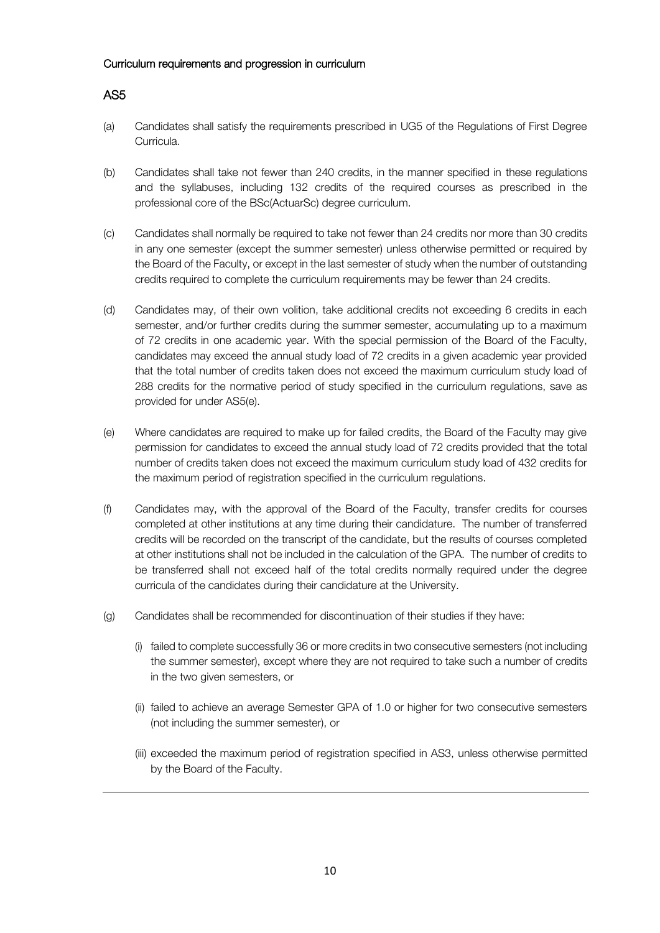#### Curriculum requirements and progression in curriculum

# AS5

- (a) Candidates shall satisfy the requirements prescribed in UG5 of the Regulations of First Degree Curricula.
- (b) Candidates shall take not fewer than 240 credits, in the manner specified in these regulations and the syllabuses, including 132 credits of the required courses as prescribed in the professional core of the BSc(ActuarSc) degree curriculum.
- (c) Candidates shall normally be required to take not fewer than 24 credits nor more than 30 credits in any one semester (except the summer semester) unless otherwise permitted or required by the Board of the Faculty, or except in the last semester of study when the number of outstanding credits required to complete the curriculum requirements may be fewer than 24 credits.
- (d) Candidates may, of their own volition, take additional credits not exceeding 6 credits in each semester, and/or further credits during the summer semester, accumulating up to a maximum of 72 credits in one academic year. With the special permission of the Board of the Faculty, candidates may exceed the annual study load of 72 credits in a given academic year provided that the total number of credits taken does not exceed the maximum curriculum study load of 288 credits for the normative period of study specified in the curriculum regulations, save as provided for under AS5(e).
- (e) Where candidates are required to make up for failed credits, the Board of the Faculty may give permission for candidates to exceed the annual study load of 72 credits provided that the total number of credits taken does not exceed the maximum curriculum study load of 432 credits for the maximum period of registration specified in the curriculum regulations.
- (f) Candidates may, with the approval of the Board of the Faculty, transfer credits for courses completed at other institutions at any time during their candidature. The number of transferred credits will be recorded on the transcript of the candidate, but the results of courses completed at other institutions shall not be included in the calculation of the GPA. The number of credits to be transferred shall not exceed half of the total credits normally required under the degree curricula of the candidates during their candidature at the University.
- (g) Candidates shall be recommended for discontinuation of their studies if they have:
	- (i) failed to complete successfully 36 or more credits in two consecutive semesters (not including the summer semester), except where they are not required to take such a number of credits in the two given semesters, or
	- (ii) failed to achieve an average Semester GPA of 1.0 or higher for two consecutive semesters (not including the summer semester), or
	- (iii) exceeded the maximum period of registration specified in AS3, unless otherwise permitted by the Board of the Faculty.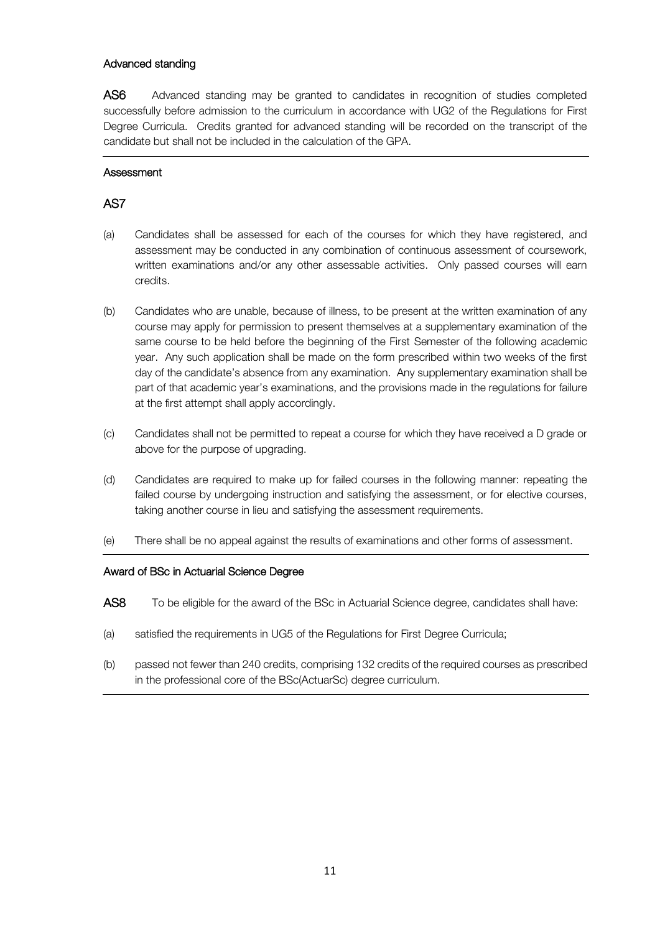### Advanced standing

AS6 Advanced standing may be granted to candidates in recognition of studies completed successfully before admission to the curriculum in accordance with UG2 of the Regulations for First Degree Curricula. Credits granted for advanced standing will be recorded on the transcript of the candidate but shall not be included in the calculation of the GPA.

### **Assessment**

# AS7

- (a) Candidates shall be assessed for each of the courses for which they have registered, and assessment may be conducted in any combination of continuous assessment of coursework, written examinations and/or any other assessable activities. Only passed courses will earn credits.
- (b) Candidates who are unable, because of illness, to be present at the written examination of any course may apply for permission to present themselves at a supplementary examination of the same course to be held before the beginning of the First Semester of the following academic year. Any such application shall be made on the form prescribed within two weeks of the first day of the candidate's absence from any examination. Any supplementary examination shall be part of that academic year's examinations, and the provisions made in the regulations for failure at the first attempt shall apply accordingly.
- (c) Candidates shall not be permitted to repeat a course for which they have received a D grade or above for the purpose of upgrading.
- (d) Candidates are required to make up for failed courses in the following manner: repeating the failed course by undergoing instruction and satisfying the assessment, or for elective courses, taking another course in lieu and satisfying the assessment requirements.
- (e) There shall be no appeal against the results of examinations and other forms of assessment.

### Award of BSc in Actuarial Science Degree

- AS8 To be eligible for the award of the BSc in Actuarial Science degree, candidates shall have:
- (a) satisfied the requirements in UG5 of the Regulations for First Degree Curricula;
- (b) passed not fewer than 240 credits, comprising 132 credits of the required courses as prescribed in the professional core of the BSc(ActuarSc) degree curriculum.